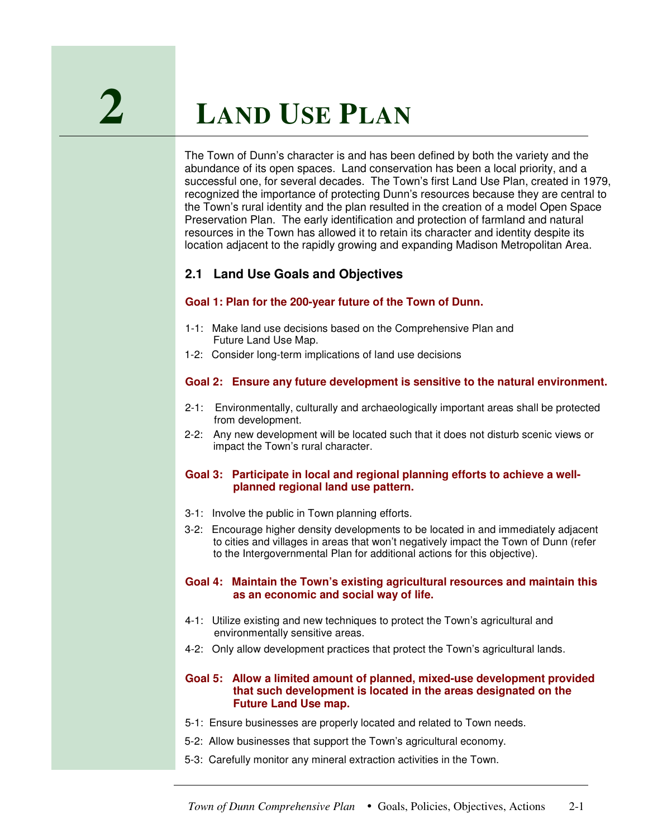# **2 <sup>L</sup>AND <sup>U</sup>SE <sup>P</sup>LAN**

The Town of Dunn's character is and has been defined by both the variety and the abundance of its open spaces. Land conservation has been a local priority, and a successful one, for several decades. The Town's first Land Use Plan, created in 1979, recognized the importance of protecting Dunn's resources because they are central to the Town's rural identity and the plan resulted in the creation of a model Open Space Preservation Plan. The early identification and protection of farmland and natural resources in the Town has allowed it to retain its character and identity despite its location adjacent to the rapidly growing and expanding Madison Metropolitan Area.

## **2.1 Land Use Goals and Objectives**

#### **Goal 1: Plan for the 200-year future of the Town of Dunn.**

- 1-1: Make land use decisions based on the Comprehensive Plan and Future Land Use Map.
- 1-2: Consider long-term implications of land use decisions

#### **Goal 2: Ensure any future development is sensitive to the natural environment.**

- 2-1: Environmentally, culturally and archaeologically important areas shall be protected from development.
- 2-2: Any new development will be located such that it does not disturb scenic views or impact the Town's rural character.

#### **Goal 3: Participate in local and regional planning efforts to achieve a wellplanned regional land use pattern.**

- 3-1: Involve the public in Town planning efforts.
- 3-2: Encourage higher density developments to be located in and immediately adjacent to cities and villages in areas that won't negatively impact the Town of Dunn (refer to the Intergovernmental Plan for additional actions for this objective).

#### **Goal 4: Maintain the Town's existing agricultural resources and maintain this as an economic and social way of life.**

- 4-1: Utilize existing and new techniques to protect the Town's agricultural and environmentally sensitive areas.
- 4-2: Only allow development practices that protect the Town's agricultural lands.

#### **Goal 5: Allow a limited amount of planned, mixed-use development provided that such development is located in the areas designated on the Future Land Use map.**

- 5-1: Ensure businesses are properly located and related to Town needs.
- 5-2: Allow businesses that support the Town's agricultural economy.
- 5-3: Carefully monitor any mineral extraction activities in the Town.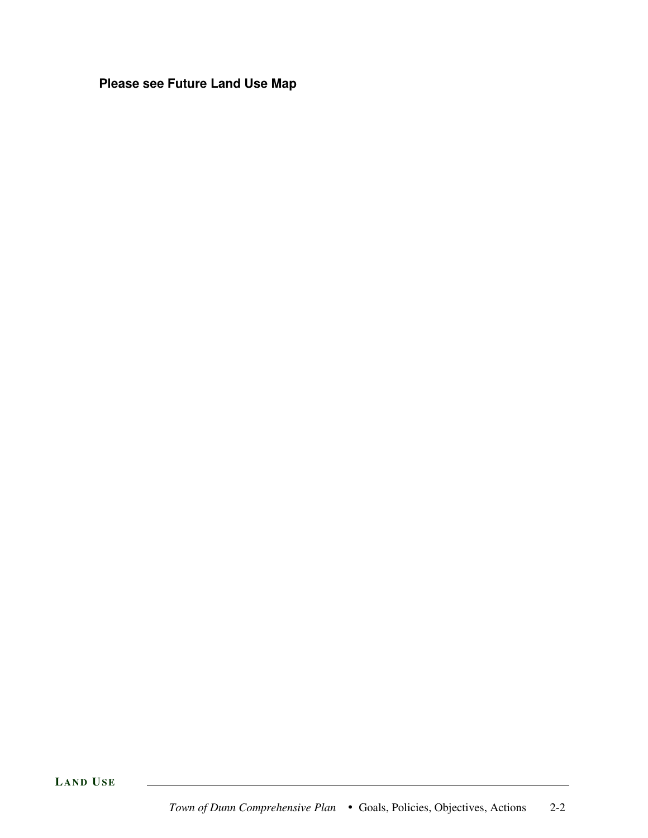**Please see Future Land Use Map**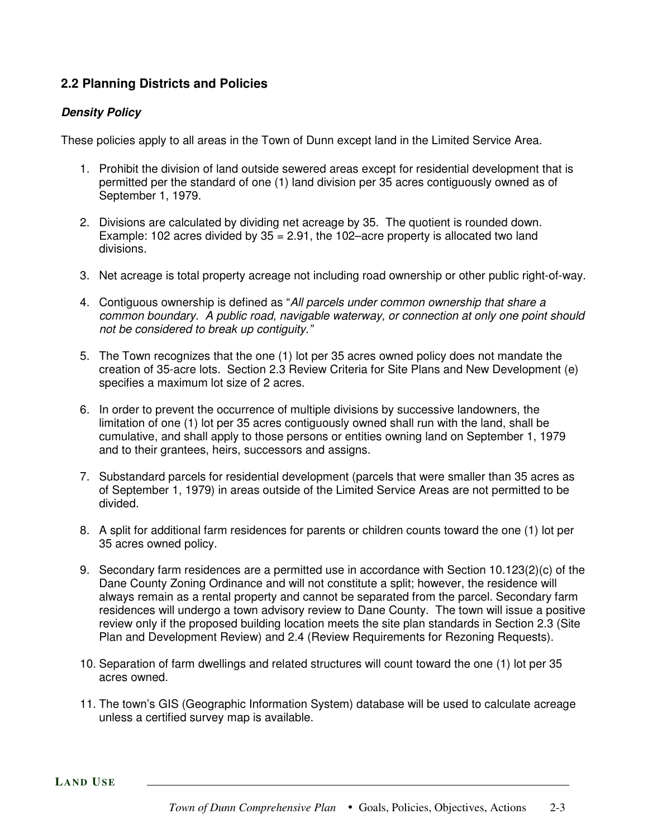# **2.2 Planning Districts and Policies**

#### *Density Policy*

These policies apply to all areas in the Town of Dunn except land in the Limited Service Area.

- 1. Prohibit the division of land outside sewered areas except for residential development that is permitted per the standard of one (1) land division per 35 acres contiguously owned as of September 1, 1979.
- 2. Divisions are calculated by dividing net acreage by 35. The quotient is rounded down. Example: 102 acres divided by  $35 = 2.91$ , the 102–acre property is allocated two land divisions.
- 3. Net acreage is total property acreage not including road ownership or other public right-of-way.
- 4. Contiguous ownership is defined as "*All parcels under common ownership that share a common boundary. A public road, navigable waterway, or connection at only one point should not be considered to break up contiguity."*
- 5. The Town recognizes that the one (1) lot per 35 acres owned policy does not mandate the creation of 35-acre lots. Section 2.3 Review Criteria for Site Plans and New Development (e) specifies a maximum lot size of 2 acres.
- 6. In order to prevent the occurrence of multiple divisions by successive landowners, the limitation of one (1) lot per 35 acres contiguously owned shall run with the land, shall be cumulative, and shall apply to those persons or entities owning land on September 1, 1979 and to their grantees, heirs, successors and assigns.
- 7. Substandard parcels for residential development (parcels that were smaller than 35 acres as of September 1, 1979) in areas outside of the Limited Service Areas are not permitted to be divided.
- 8. A split for additional farm residences for parents or children counts toward the one (1) lot per 35 acres owned policy.
- 9. Secondary farm residences are a permitted use in accordance with Section 10.123(2)(c) of the Dane County Zoning Ordinance and will not constitute a split; however, the residence will always remain as a rental property and cannot be separated from the parcel. Secondary farm residences will undergo a town advisory review to Dane County. The town will issue a positive review only if the proposed building location meets the site plan standards in Section 2.3 (Site Plan and Development Review) and 2.4 (Review Requirements for Rezoning Requests).
- 10. Separation of farm dwellings and related structures will count toward the one (1) lot per 35 acres owned.
- 11. The town's GIS (Geographic Information System) database will be used to calculate acreage unless a certified survey map is available.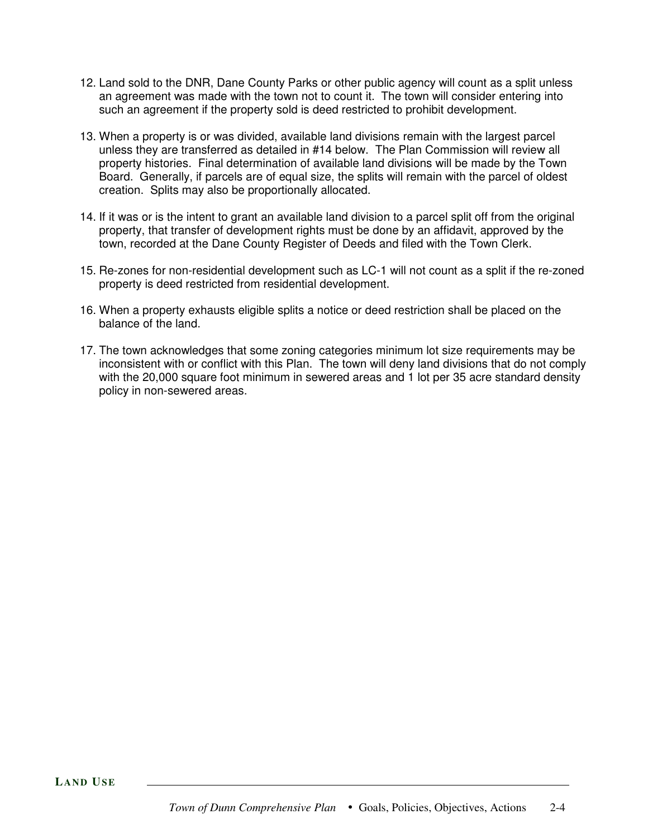- 12. Land sold to the DNR, Dane County Parks or other public agency will count as a split unless an agreement was made with the town not to count it. The town will consider entering into such an agreement if the property sold is deed restricted to prohibit development.
- 13. When a property is or was divided, available land divisions remain with the largest parcel unless they are transferred as detailed in #14 below. The Plan Commission will review all property histories. Final determination of available land divisions will be made by the Town Board. Generally, if parcels are of equal size, the splits will remain with the parcel of oldest creation. Splits may also be proportionally allocated.
- 14. If it was or is the intent to grant an available land division to a parcel split off from the original property, that transfer of development rights must be done by an affidavit, approved by the town, recorded at the Dane County Register of Deeds and filed with the Town Clerk.
- 15. Re-zones for non-residential development such as LC-1 will not count as a split if the re-zoned property is deed restricted from residential development.
- 16. When a property exhausts eligible splits a notice or deed restriction shall be placed on the balance of the land.
- 17. The town acknowledges that some zoning categories minimum lot size requirements may be inconsistent with or conflict with this Plan. The town will deny land divisions that do not comply with the 20,000 square foot minimum in sewered areas and 1 lot per 35 acre standard density policy in non-sewered areas.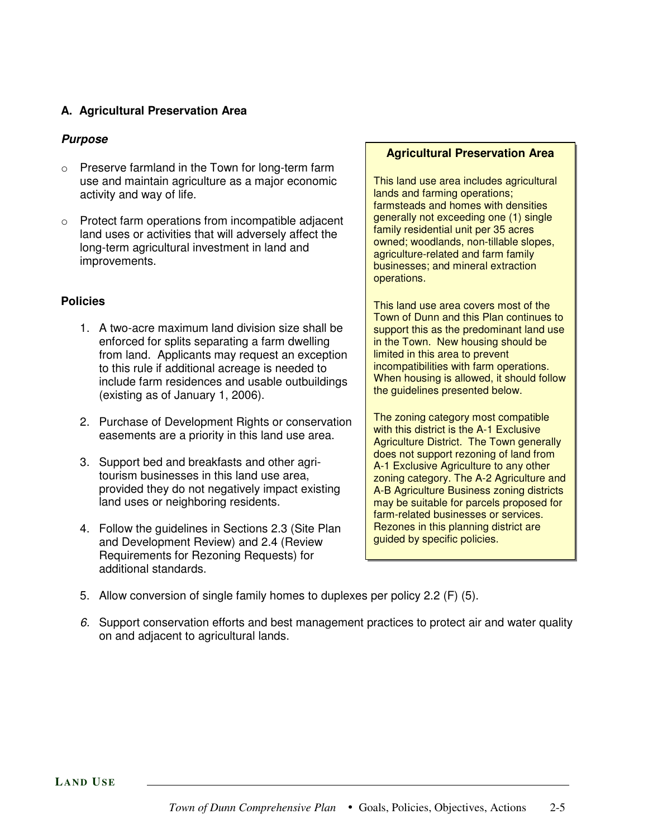## **A. Agricultural Preservation Area**

#### *Purpose*

- o Preserve farmland in the Town for long-term farm use and maintain agriculture as a major economic activity and way of life.
- o Protect farm operations from incompatible adjacent land uses or activities that will adversely affect the long-term agricultural investment in land and improvements.

#### **Policies**

- 1. A two-acre maximum land division size shall be enforced for splits separating a farm dwelling from land. Applicants may request an exception to this rule if additional acreage is needed to include farm residences and usable outbuildings (existing as of January 1, 2006).
- 2. Purchase of Development Rights or conservation easements are a priority in this land use area.
- 3. Support bed and breakfasts and other agritourism businesses in this land use area, provided they do not negatively impact existing land uses or neighboring residents.
- 4. Follow the guidelines in Sections 2.3 (Site Plan and Development Review) and 2.4 (Review Requirements for Rezoning Requests) for additional standards.

#### **Agricultural Preservation Area**

This land use area includes agricultural lands and farming operations; farmsteads and homes with densities generally not exceeding one (1) single family residential unit per 35 acres owned; woodlands, non-tillable slopes, agriculture-related and farm family businesses; and mineral extraction operations.

This land use area covers most of the Town of Dunn and this Plan continues to support this as the predominant land use in the Town. New housing should be limited in this area to prevent incompatibilities with farm operations. When housing is allowed, it should follow the guidelines presented below.

The zoning category most compatible with this district is the A-1 Exclusive Agriculture District. The Town generally does not support rezoning of land from A-1 Exclusive Agriculture to any other zoning category. The A-2 Agriculture and A-B Agriculture Business zoning districts may be suitable for parcels proposed for farm-related businesses or services. Rezones in this planning district are guided by specific policies.

- 5. Allow conversion of single family homes to duplexes per policy 2.2 (F) (5).
- *6.* Support conservation efforts and best management practices to protect air and water quality on and adjacent to agricultural lands.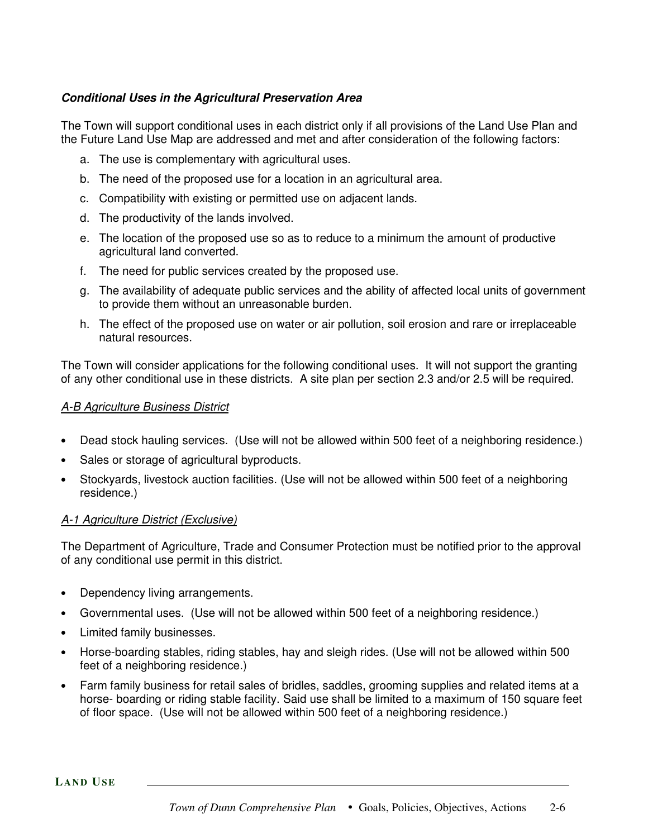## *Conditional Uses in the Agricultural Preservation Area*

The Town will support conditional uses in each district only if all provisions of the Land Use Plan and the Future Land Use Map are addressed and met and after consideration of the following factors:

- a. The use is complementary with agricultural uses.
- b. The need of the proposed use for a location in an agricultural area.
- c. Compatibility with existing or permitted use on adjacent lands.
- d. The productivity of the lands involved.
- e. The location of the proposed use so as to reduce to a minimum the amount of productive agricultural land converted.
- f. The need for public services created by the proposed use.
- g. The availability of adequate public services and the ability of affected local units of government to provide them without an unreasonable burden.
- h. The effect of the proposed use on water or air pollution, soil erosion and rare or irreplaceable natural resources.

The Town will consider applications for the following conditional uses. It will not support the granting of any other conditional use in these districts. A site plan per section 2.3 and/or 2.5 will be required.

#### *A-B Agriculture Business District*

- Dead stock hauling services. (Use will not be allowed within 500 feet of a neighboring residence.)
- Sales or storage of agricultural byproducts.
- Stockyards, livestock auction facilities. (Use will not be allowed within 500 feet of a neighboring residence.)

#### *A-1 Agriculture District (Exclusive)*

The Department of Agriculture, Trade and Consumer Protection must be notified prior to the approval of any conditional use permit in this district.

- Dependency living arrangements.
- Governmental uses. (Use will not be allowed within 500 feet of a neighboring residence.)
- Limited family businesses.
- Horse-boarding stables, riding stables, hay and sleigh rides. (Use will not be allowed within 500 feet of a neighboring residence.)
- Farm family business for retail sales of bridles, saddles, grooming supplies and related items at a horse- boarding or riding stable facility. Said use shall be limited to a maximum of 150 square feet of floor space. (Use will not be allowed within 500 feet of a neighboring residence.)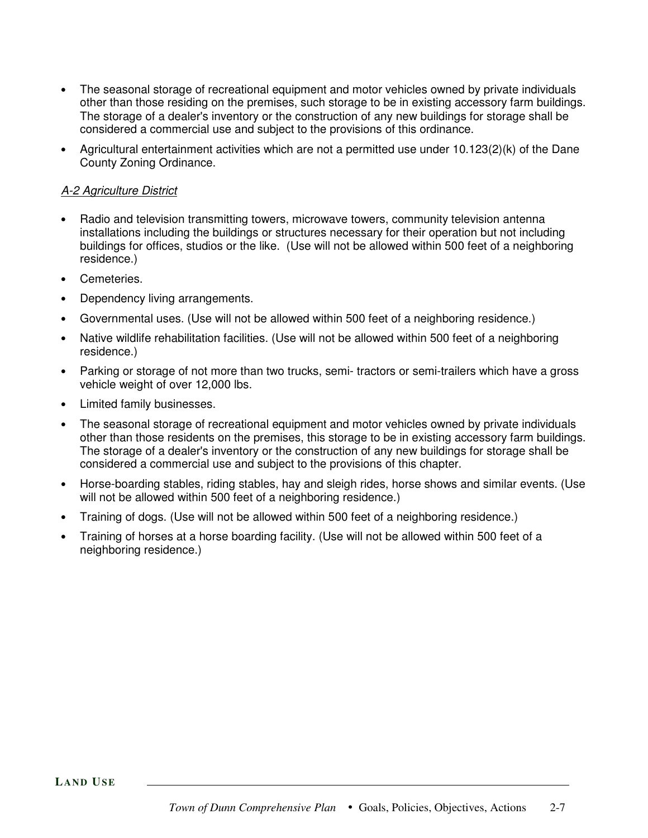- The seasonal storage of recreational equipment and motor vehicles owned by private individuals other than those residing on the premises, such storage to be in existing accessory farm buildings. The storage of a dealer's inventory or the construction of any new buildings for storage shall be considered a commercial use and subject to the provisions of this ordinance.
- Agricultural entertainment activities which are not a permitted use under  $10.123(2)(k)$  of the Dane County Zoning Ordinance.

## *A-2 Agriculture District*

- Radio and television transmitting towers, microwave towers, community television antenna installations including the buildings or structures necessary for their operation but not including buildings for offices, studios or the like. (Use will not be allowed within 500 feet of a neighboring residence.)
- Cemeteries.
- Dependency living arrangements.
- Governmental uses. (Use will not be allowed within 500 feet of a neighboring residence.)
- Native wildlife rehabilitation facilities. (Use will not be allowed within 500 feet of a neighboring residence.)
- Parking or storage of not more than two trucks, semi- tractors or semi-trailers which have a gross vehicle weight of over 12,000 lbs.
- Limited family businesses.
- The seasonal storage of recreational equipment and motor vehicles owned by private individuals other than those residents on the premises, this storage to be in existing accessory farm buildings. The storage of a dealer's inventory or the construction of any new buildings for storage shall be considered a commercial use and subject to the provisions of this chapter.
- Horse-boarding stables, riding stables, hay and sleigh rides, horse shows and similar events. (Use will not be allowed within 500 feet of a neighboring residence.)
- Training of dogs. (Use will not be allowed within 500 feet of a neighboring residence.)
- Training of horses at a horse boarding facility. (Use will not be allowed within 500 feet of a neighboring residence.)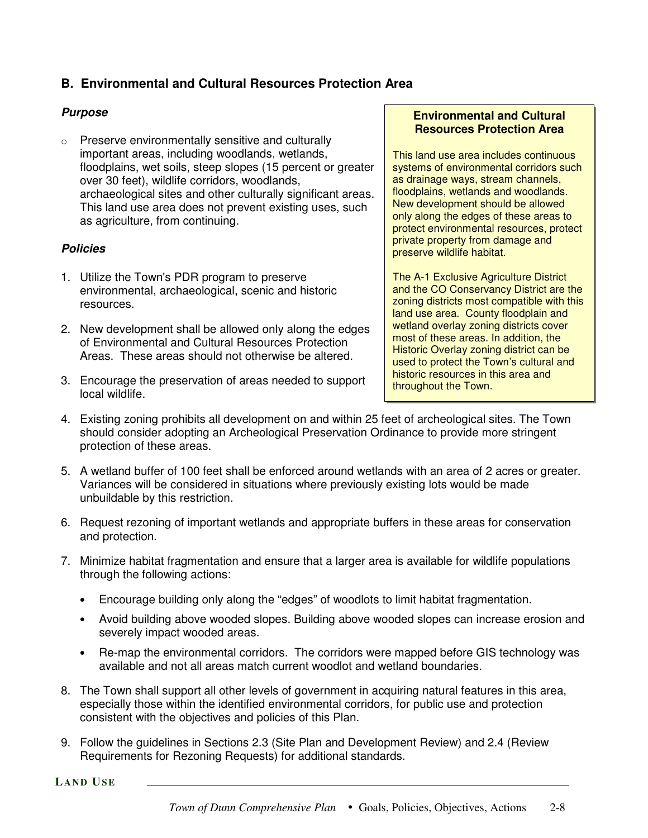# **B. Environmental and Cultural Resources Protection Area**

## *Purpose*

o Preserve environmentally sensitive and culturally important areas, including woodlands, wetlands, floodplains, wet soils, steep slopes (15 percent or greater over 30 feet), wildlife corridors, woodlands, archaeological sites and other culturally significant areas. This land use area does not prevent existing uses, such as agriculture, from continuing.

#### *Policies*

- 1. Utilize the Town's PDR program to preserve environmental, archaeological, scenic and historic resources.
- 2. New development shall be allowed only along the edges of Environmental and Cultural Resources Protection Areas. These areas should not otherwise be altered.
- 3. Encourage the preservation of areas needed to support local wildlife.

#### **Environmental and Cultural Resources Protection Area**

This land use area includes continuous systems of environmental corridors such as drainage ways, stream channels, floodplains, wetlands and woodlands. New development should be allowed only along the edges of these areas to protect environmental resources, protect private property from damage and preserve wildlife habitat.

The A-1 Exclusive Agriculture District and the CO Conservancy District are the zoning districts most compatible with this land use area. County floodplain and wetland overlay zoning districts cover most of these areas. In addition, the Historic Overlay zoning district can be used to protect the Town's cultural and historic resources in this area and throughout the Town.

- 4. Existing zoning prohibits all development on and within 25 feet of archeological sites. The Town should consider adopting an Archeological Preservation Ordinance to provide more stringent protection of these areas.
- 5. A wetland buffer of 100 feet shall be enforced around wetlands with an area of 2 acres or greater. Variances will be considered in situations where previously existing lots would be made unbuildable by this restriction.
- 6. Request rezoning of important wetlands and appropriate buffers in these areas for conservation and protection.
- 7. Minimize habitat fragmentation and ensure that a larger area is available for wildlife populations through the following actions:
	- Encourage building only along the "edges" of woodlots to limit habitat fragmentation.
	- Avoid building above wooded slopes. Building above wooded slopes can increase erosion and severely impact wooded areas.
	- Re-map the environmental corridors. The corridors were mapped before GIS technology was available and not all areas match current woodlot and wetland boundaries.
- 8. The Town shall support all other levels of government in acquiring natural features in this area, especially those within the identified environmental corridors, for public use and protection consistent with the objectives and policies of this Plan.
- 9. Follow the guidelines in Sections 2.3 (Site Plan and Development Review) and 2.4 (Review Requirements for Rezoning Requests) for additional standards.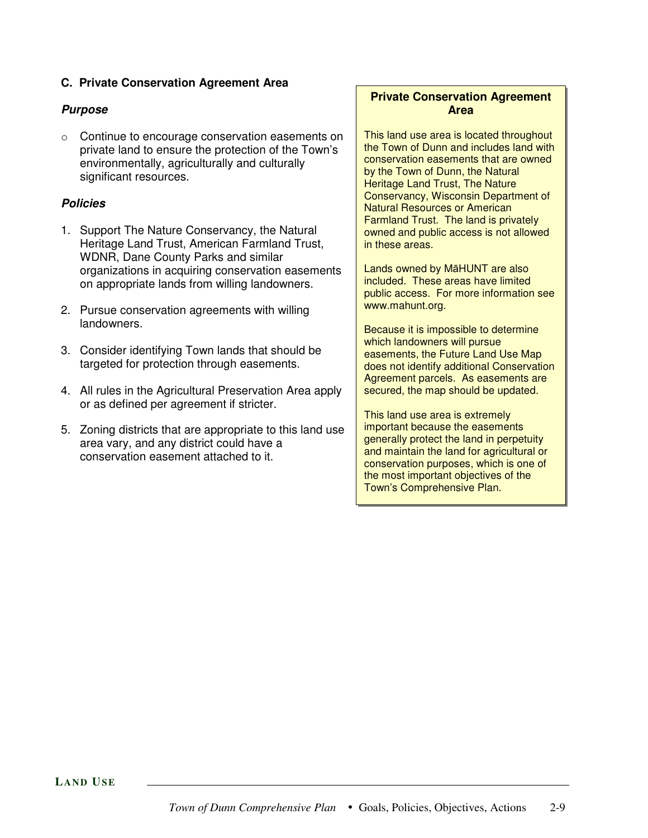## **C. Private Conservation Agreement Area**

## *Purpose*

o Continue to encourage conservation easements on private land to ensure the protection of the Town's environmentally, agriculturally and culturally significant resources.

#### *Policies*

- 1. Support The Nature Conservancy, the Natural Heritage Land Trust, American Farmland Trust, WDNR, Dane County Parks and similar organizations in acquiring conservation easements on appropriate lands from willing landowners.
- 2. Pursue conservation agreements with willing landowners.
- 3. Consider identifying Town lands that should be targeted for protection through easements.
- 4. All rules in the Agricultural Preservation Area apply or as defined per agreement if stricter.
- 5. Zoning districts that are appropriate to this land use area vary, and any district could have a conservation easement attached to it.

## **Private Conservation Agreement Area**

This land use area is located throughout the Town of Dunn and includes land with conservation easements that are owned by the Town of Dunn, the Natural Heritage Land Trust, The Nature Conservancy, Wisconsin Department of Natural Resources or American Farmland Trust. The land is privately owned and public access is not allowed in these areas.

Lands owned by MaHUNT are also included. These areas have limited public access. For more information see www.mahunt.org.

Because it is impossible to determine which landowners will pursue easements, the Future Land Use Map does not identify additional Conservation Agreement parcels. As easements are secured, the map should be updated.

This land use area is extremely important because the easements generally protect the land in perpetuity and maintain the land for agricultural or conservation purposes, which is one of the most important objectives of the Town's Comprehensive Plan.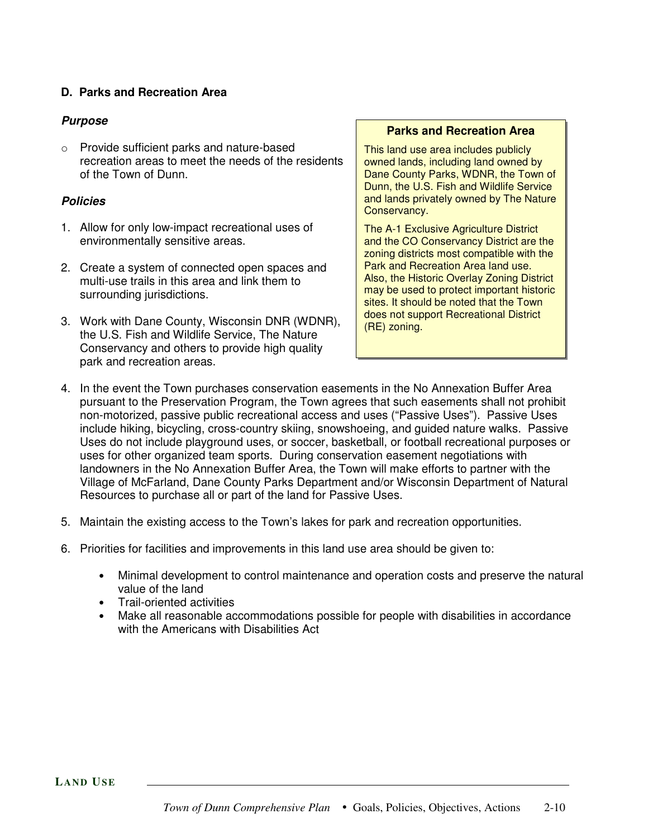#### **D. Parks and Recreation Area**

## *Purpose*

o Provide sufficient parks and nature-based recreation areas to meet the needs of the residents of the Town of Dunn.

## *Policies*

- 1. Allow for only low-impact recreational uses of environmentally sensitive areas.
- 2. Create a system of connected open spaces and multi-use trails in this area and link them to surrounding jurisdictions.
- 3. Work with Dane County, Wisconsin DNR (WDNR), the U.S. Fish and Wildlife Service, The Nature Conservancy and others to provide high quality park and recreation areas.

#### **Parks and Recreation Area**

This land use area includes publicly owned lands, including land owned by Dane County Parks, WDNR, the Town of Dunn, the U.S. Fish and Wildlife Service and lands privately owned by The Nature Conservancy.

The A-1 Exclusive Agriculture District and the CO Conservancy District are the zoning districts most compatible with the Park and Recreation Area land use. Also, the Historic Overlay Zoning District may be used to protect important historic sites. It should be noted that the Town does not support Recreational District (RE) zoning.

- 4. In the event the Town purchases conservation easements in the No Annexation Buffer Area pursuant to the Preservation Program, the Town agrees that such easements shall not prohibit non-motorized, passive public recreational access and uses ("Passive Uses"). Passive Uses include hiking, bicycling, cross-country skiing, snowshoeing, and guided nature walks. Passive Uses do not include playground uses, or soccer, basketball, or football recreational purposes or uses for other organized team sports. During conservation easement negotiations with landowners in the No Annexation Buffer Area, the Town will make efforts to partner with the Village of McFarland, Dane County Parks Department and/or Wisconsin Department of Natural Resources to purchase all or part of the land for Passive Uses.
- 5. Maintain the existing access to the Town's lakes for park and recreation opportunities.
- 6. Priorities for facilities and improvements in this land use area should be given to:
	- Minimal development to control maintenance and operation costs and preserve the natural value of the land
	- Trail-oriented activities
	- Make all reasonable accommodations possible for people with disabilities in accordance with the Americans with Disabilities Act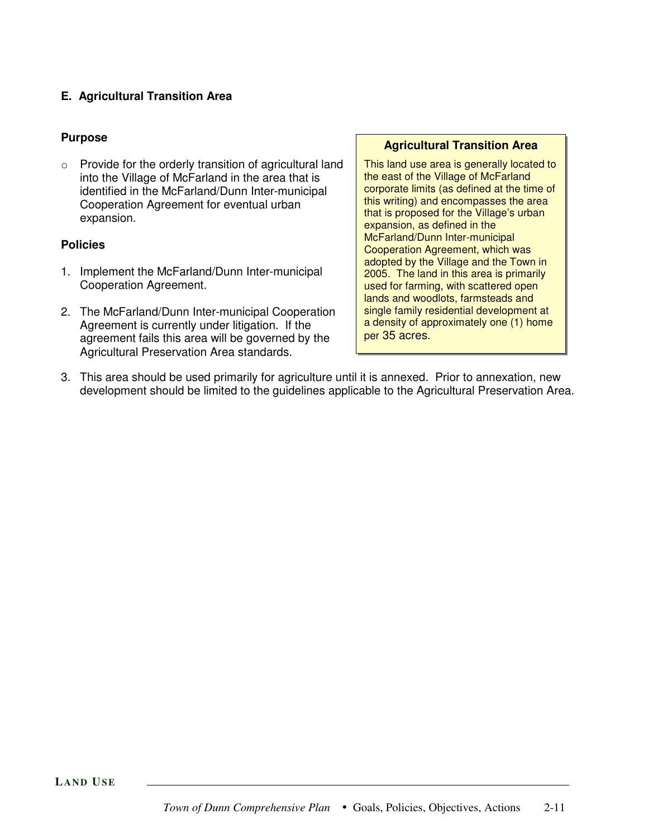## **E. Agricultural Transition Area**

## **Purpose**

o Provide for the orderly transition of agricultural land into the Village of McFarland in the area that is identified in the McFarland/Dunn Inter-municipal Cooperation Agreement for eventual urban expansion.

#### **Policies**

- 1. Implement the McFarland/Dunn Inter-municipal Cooperation Agreement.
- 2. The McFarland/Dunn Inter-municipal Cooperation Agreement is currently under litigation. If the agreement fails this area will be governed by the Agricultural Preservation Area standards.

#### **Agricultural Transition Area**

This land use area is generally located to the east of the Village of McFarland corporate limits (as defined at the time of this writing) and encompasses the area that is proposed for the Village's urban expansion, as defined in the McFarland/Dunn Inter-municipal Cooperation Agreement, which was adopted by the Village and the Town in 2005. The land in this area is primarily used for farming, with scattered open lands and woodlots, farmsteads and single family residential development at a density of approximately one (1) home per 35 acres.

3. This area should be used primarily for agriculture until it is annexed. Prior to annexation, new development should be limited to the guidelines applicable to the Agricultural Preservation Area.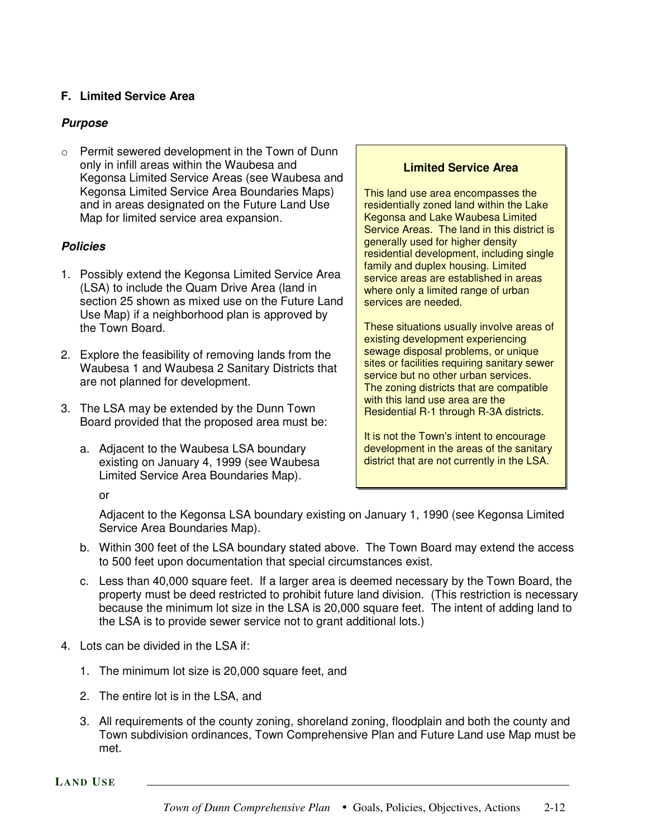## **F. Limited Service Area**

## *Purpose*

o Permit sewered development in the Town of Dunn only in infill areas within the Waubesa and Kegonsa Limited Service Areas (see Waubesa and Kegonsa Limited Service Area Boundaries Maps) and in areas designated on the Future Land Use Map for limited service area expansion.

#### *Policies*

- 1. Possibly extend the Kegonsa Limited Service Area (LSA) to include the Quam Drive Area (land in section 25 shown as mixed use on the Future Land Use Map) if a neighborhood plan is approved by the Town Board.
- 2. Explore the feasibility of removing lands from the Waubesa 1 and Waubesa 2 Sanitary Districts that are not planned for development.
- 3. The LSA may be extended by the Dunn Town Board provided that the proposed area must be:
	- a. Adjacent to the Waubesa LSA boundary existing on January 4, 1999 (see Waubesa Limited Service Area Boundaries Map).

#### **Limited Service Area**

This land use area encompasses the residentially zoned land within the Lake Kegonsa and Lake Waubesa Limited Service Areas. The land in this district is generally used for higher density residential development, including single family and duplex housing. Limited service areas are established in areas where only a limited range of urban services are needed.

These situations usually involve areas of existing development experiencing sewage disposal problems, or unique sites or facilities requiring sanitary sewer service but no other urban services. The zoning districts that are compatible with this land use area are the Residential R-1 through R-3A districts.

It is not the Town's intent to encourage development in the areas of the sanitary district that are not currently in the LSA.

or

Adjacent to the Kegonsa LSA boundary existing on January 1, 1990 (see Kegonsa Limited Service Area Boundaries Map).

- b. Within 300 feet of the LSA boundary stated above. The Town Board may extend the access to 500 feet upon documentation that special circumstances exist.
- c. Less than 40,000 square feet. If a larger area is deemed necessary by the Town Board, the property must be deed restricted to prohibit future land division. (This restriction is necessary because the minimum lot size in the LSA is 20,000 square feet. The intent of adding land to the LSA is to provide sewer service not to grant additional lots.)
- 4. Lots can be divided in the LSA if:
	- 1. The minimum lot size is 20,000 square feet, and
	- 2. The entire lot is in the LSA, and
	- 3. All requirements of the county zoning, shoreland zoning, floodplain and both the county and Town subdivision ordinances, Town Comprehensive Plan and Future Land use Map must be met.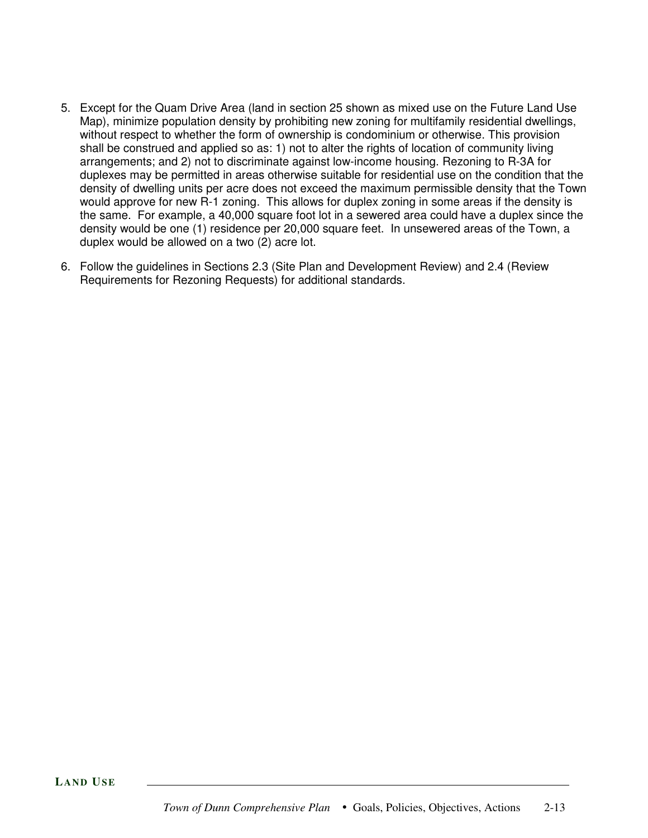- 5. Except for the Quam Drive Area (land in section 25 shown as mixed use on the Future Land Use Map), minimize population density by prohibiting new zoning for multifamily residential dwellings, without respect to whether the form of ownership is condominium or otherwise. This provision shall be construed and applied so as: 1) not to alter the rights of location of community living arrangements; and 2) not to discriminate against low-income housing. Rezoning to R-3A for duplexes may be permitted in areas otherwise suitable for residential use on the condition that the density of dwelling units per acre does not exceed the maximum permissible density that the Town would approve for new R-1 zoning. This allows for duplex zoning in some areas if the density is the same. For example, a 40,000 square foot lot in a sewered area could have a duplex since the density would be one (1) residence per 20,000 square feet. In unsewered areas of the Town, a duplex would be allowed on a two (2) acre lot.
- 6. Follow the guidelines in Sections 2.3 (Site Plan and Development Review) and 2.4 (Review Requirements for Rezoning Requests) for additional standards.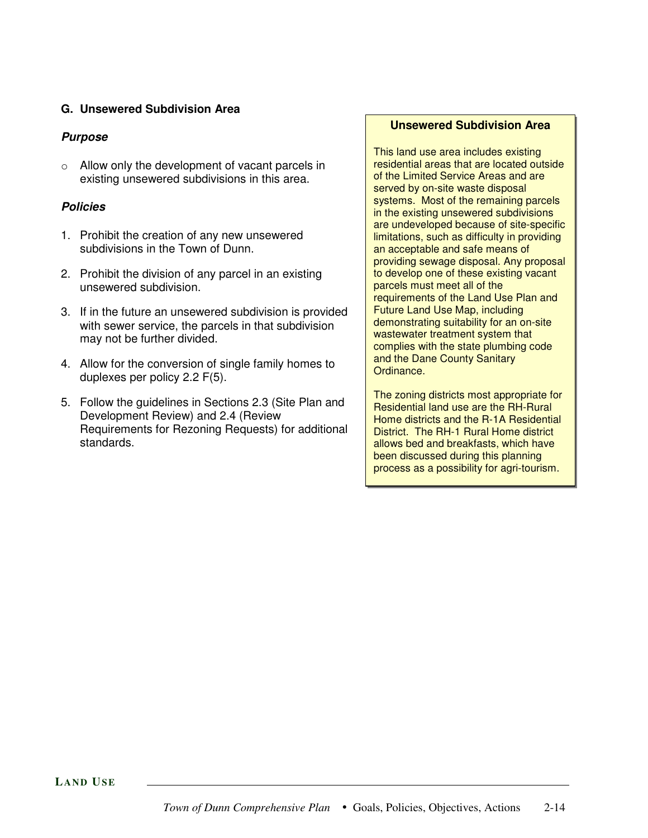#### **G. Unsewered Subdivision Area**

## *Purpose*

o Allow only the development of vacant parcels in existing unsewered subdivisions in this area.

## *Policies*

- 1. Prohibit the creation of any new unsewered subdivisions in the Town of Dunn.
- 2. Prohibit the division of any parcel in an existing unsewered subdivision.
- 3. If in the future an unsewered subdivision is provided with sewer service, the parcels in that subdivision may not be further divided.
- 4. Allow for the conversion of single family homes to duplexes per policy 2.2 F(5).
- 5. Follow the guidelines in Sections 2.3 (Site Plan and Development Review) and 2.4 (Review Requirements for Rezoning Requests) for additional standards.

#### **Unsewered Subdivision Area**

This land use area includes existing residential areas that are located outside of the Limited Service Areas and are served by on-site waste disposal systems. Most of the remaining parcels in the existing unsewered subdivisions are undeveloped because of site-specific limitations, such as difficulty in providing an acceptable and safe means of providing sewage disposal. Any proposal to develop one of these existing vacant parcels must meet all of the requirements of the Land Use Plan and Future Land Use Map, including demonstrating suitability for an on-site wastewater treatment system that complies with the state plumbing code and the Dane County Sanitary Ordinance.

The zoning districts most appropriate for Residential land use are the RH-Rural Home districts and the R-1A Residential District. The RH-1 Rural Home district allows bed and breakfasts, which have been discussed during this planning process as a possibility for agri-tourism.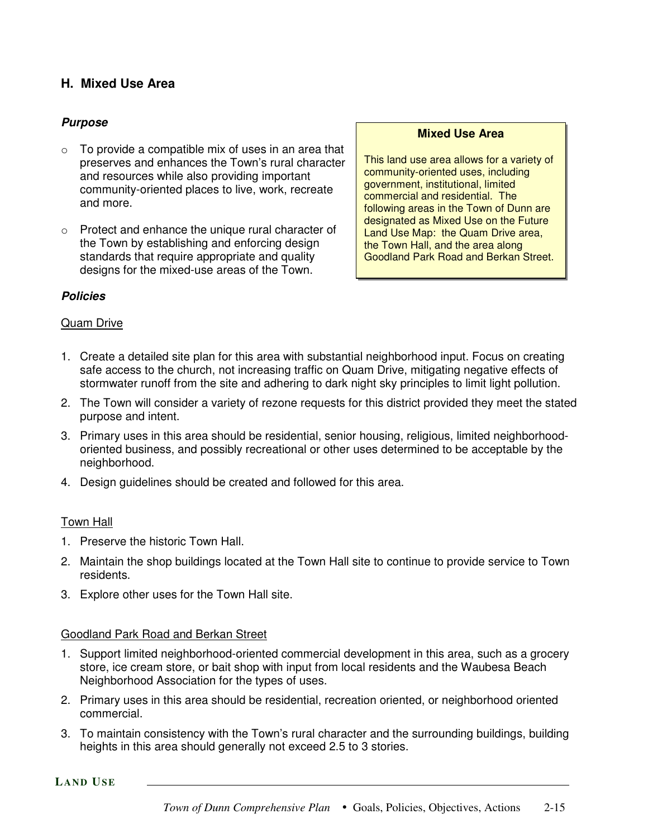# **H. Mixed Use Area**

## *Purpose*

- $\circ$  To provide a compatible mix of uses in an area that preserves and enhances the Town's rural character and resources while also providing important community-oriented places to live, work, recreate and more.
- o Protect and enhance the unique rural character of the Town by establishing and enforcing design standards that require appropriate and quality designs for the mixed-use areas of the Town.

#### **Mixed Use Area**

This land use area allows for a variety of community-oriented uses, including government, institutional, limited commercial and residential. The following areas in the Town of Dunn are designated as Mixed Use on the Future Land Use Map: the Quam Drive area, the Town Hall, and the area along Goodland Park Road and Berkan Street.

#### *Policies*

#### Quam Drive

- 1. Create a detailed site plan for this area with substantial neighborhood input. Focus on creating safe access to the church, not increasing traffic on Quam Drive, mitigating negative effects of stormwater runoff from the site and adhering to dark night sky principles to limit light pollution.
- 2. The Town will consider a variety of rezone requests for this district provided they meet the stated purpose and intent.
- 3. Primary uses in this area should be residential, senior housing, religious, limited neighborhoodoriented business, and possibly recreational or other uses determined to be acceptable by the neighborhood.
- 4. Design guidelines should be created and followed for this area.

#### Town Hall

- 1. Preserve the historic Town Hall.
- 2. Maintain the shop buildings located at the Town Hall site to continue to provide service to Town residents.
- 3. Explore other uses for the Town Hall site.

#### Goodland Park Road and Berkan Street

- 1. Support limited neighborhood-oriented commercial development in this area, such as a grocery store, ice cream store, or bait shop with input from local residents and the Waubesa Beach Neighborhood Association for the types of uses.
- 2. Primary uses in this area should be residential, recreation oriented, or neighborhood oriented commercial.
- 3. To maintain consistency with the Town's rural character and the surrounding buildings, building heights in this area should generally not exceed 2.5 to 3 stories.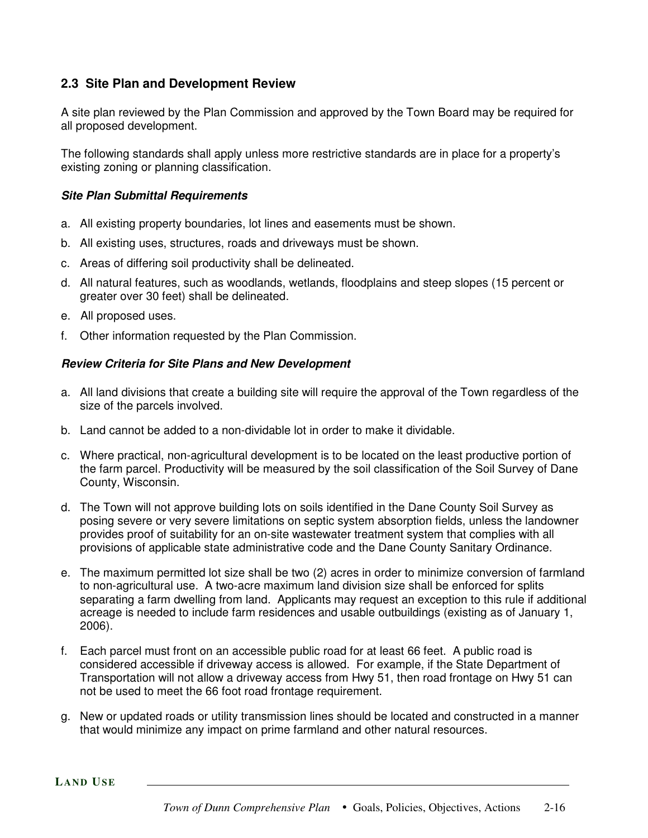# **2.3 Site Plan and Development Review**

A site plan reviewed by the Plan Commission and approved by the Town Board may be required for all proposed development.

The following standards shall apply unless more restrictive standards are in place for a property's existing zoning or planning classification.

#### *Site Plan Submittal Requirements*

- a. All existing property boundaries, lot lines and easements must be shown.
- b. All existing uses, structures, roads and driveways must be shown.
- c. Areas of differing soil productivity shall be delineated.
- d. All natural features, such as woodlands, wetlands, floodplains and steep slopes (15 percent or greater over 30 feet) shall be delineated.
- e. All proposed uses.
- f. Other information requested by the Plan Commission.

## *Review Criteria for Site Plans and New Development*

- a. All land divisions that create a building site will require the approval of the Town regardless of the size of the parcels involved.
- b. Land cannot be added to a non-dividable lot in order to make it dividable.
- c. Where practical, non-agricultural development is to be located on the least productive portion of the farm parcel. Productivity will be measured by the soil classification of the Soil Survey of Dane County, Wisconsin.
- d. The Town will not approve building lots on soils identified in the Dane County Soil Survey as posing severe or very severe limitations on septic system absorption fields, unless the landowner provides proof of suitability for an on-site wastewater treatment system that complies with all provisions of applicable state administrative code and the Dane County Sanitary Ordinance.
- e. The maximum permitted lot size shall be two (2) acres in order to minimize conversion of farmland to non-agricultural use. A two-acre maximum land division size shall be enforced for splits separating a farm dwelling from land. Applicants may request an exception to this rule if additional acreage is needed to include farm residences and usable outbuildings (existing as of January 1, 2006).
- f. Each parcel must front on an accessible public road for at least 66 feet. A public road is considered accessible if driveway access is allowed. For example, if the State Department of Transportation will not allow a driveway access from Hwy 51, then road frontage on Hwy 51 can not be used to meet the 66 foot road frontage requirement.
- g. New or updated roads or utility transmission lines should be located and constructed in a manner that would minimize any impact on prime farmland and other natural resources.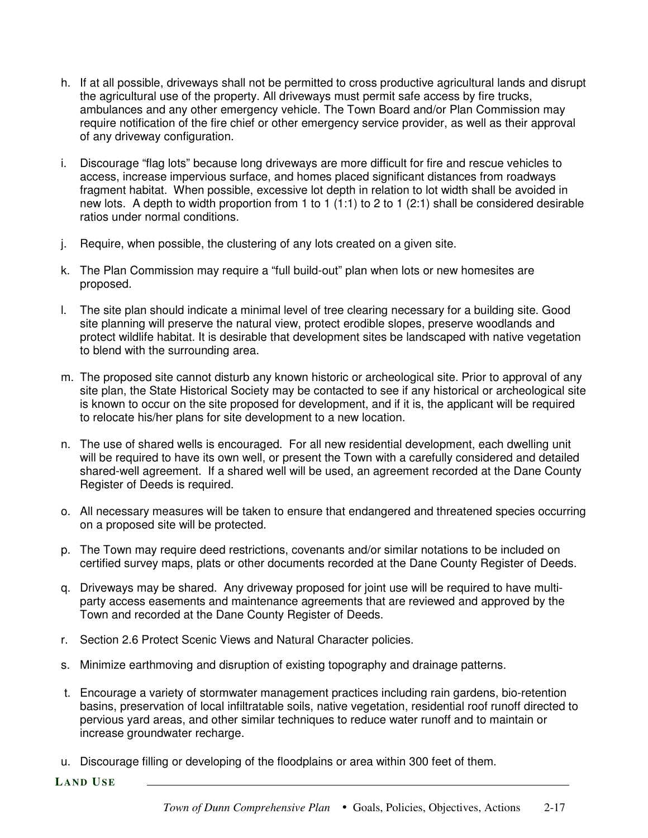- h. If at all possible, driveways shall not be permitted to cross productive agricultural lands and disrupt the agricultural use of the property. All driveways must permit safe access by fire trucks, ambulances and any other emergency vehicle. The Town Board and/or Plan Commission may require notification of the fire chief or other emergency service provider, as well as their approval of any driveway configuration.
- i. Discourage "flag lots" because long driveways are more difficult for fire and rescue vehicles to access, increase impervious surface, and homes placed significant distances from roadways fragment habitat. When possible, excessive lot depth in relation to lot width shall be avoided in new lots. A depth to width proportion from 1 to 1 (1:1) to 2 to 1 (2:1) shall be considered desirable ratios under normal conditions.
- j. Require, when possible, the clustering of any lots created on a given site.
- k. The Plan Commission may require a "full build-out" plan when lots or new homesites are proposed.
- l. The site plan should indicate a minimal level of tree clearing necessary for a building site. Good site planning will preserve the natural view, protect erodible slopes, preserve woodlands and protect wildlife habitat. It is desirable that development sites be landscaped with native vegetation to blend with the surrounding area.
- m. The proposed site cannot disturb any known historic or archeological site. Prior to approval of any site plan, the State Historical Society may be contacted to see if any historical or archeological site is known to occur on the site proposed for development, and if it is, the applicant will be required to relocate his/her plans for site development to a new location.
- n. The use of shared wells is encouraged. For all new residential development, each dwelling unit will be required to have its own well, or present the Town with a carefully considered and detailed shared-well agreement. If a shared well will be used, an agreement recorded at the Dane County Register of Deeds is required.
- o. All necessary measures will be taken to ensure that endangered and threatened species occurring on a proposed site will be protected.
- p. The Town may require deed restrictions, covenants and/or similar notations to be included on certified survey maps, plats or other documents recorded at the Dane County Register of Deeds.
- q. Driveways may be shared. Any driveway proposed for joint use will be required to have multiparty access easements and maintenance agreements that are reviewed and approved by the Town and recorded at the Dane County Register of Deeds.
- r. Section 2.6 Protect Scenic Views and Natural Character policies.
- s. Minimize earthmoving and disruption of existing topography and drainage patterns.
- t. Encourage a variety of stormwater management practices including rain gardens, bio-retention basins, preservation of local infiltratable soils, native vegetation, residential roof runoff directed to pervious yard areas, and other similar techniques to reduce water runoff and to maintain or increase groundwater recharge.
- u. Discourage filling or developing of the floodplains or area within 300 feet of them.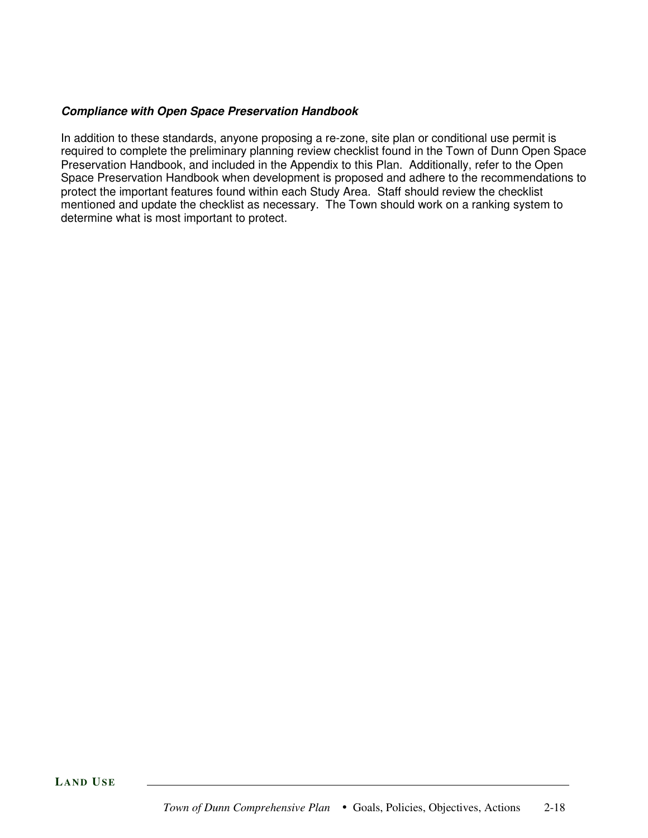#### *Compliance with Open Space Preservation Handbook*

In addition to these standards, anyone proposing a re-zone, site plan or conditional use permit is required to complete the preliminary planning review checklist found in the Town of Dunn Open Space Preservation Handbook, and included in the Appendix to this Plan. Additionally, refer to the Open Space Preservation Handbook when development is proposed and adhere to the recommendations to protect the important features found within each Study Area. Staff should review the checklist mentioned and update the checklist as necessary. The Town should work on a ranking system to determine what is most important to protect.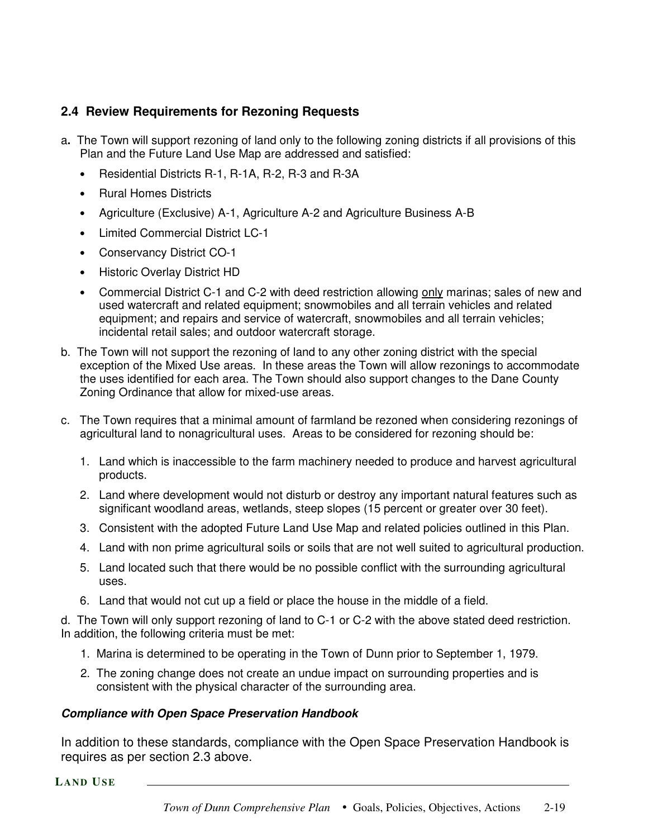# **2.4 Review Requirements for Rezoning Requests**

- a**.** The Town will support rezoning of land only to the following zoning districts if all provisions of this Plan and the Future Land Use Map are addressed and satisfied:
	- Residential Districts R-1, R-1A, R-2, R-3 and R-3A
	- Rural Homes Districts
	- Agriculture (Exclusive) A-1, Agriculture A-2 and Agriculture Business A-B
	- Limited Commercial District LC-1
	- Conservancy District CO-1
	- Historic Overlay District HD
	- Commercial District C-1 and C-2 with deed restriction allowing only marinas; sales of new and used watercraft and related equipment; snowmobiles and all terrain vehicles and related equipment; and repairs and service of watercraft, snowmobiles and all terrain vehicles; incidental retail sales; and outdoor watercraft storage.
- b. The Town will not support the rezoning of land to any other zoning district with the special exception of the Mixed Use areas. In these areas the Town will allow rezonings to accommodate the uses identified for each area. The Town should also support changes to the Dane County Zoning Ordinance that allow for mixed-use areas.
- c. The Town requires that a minimal amount of farmland be rezoned when considering rezonings of agricultural land to nonagricultural uses. Areas to be considered for rezoning should be:
	- 1. Land which is inaccessible to the farm machinery needed to produce and harvest agricultural products.
	- 2. Land where development would not disturb or destroy any important natural features such as significant woodland areas, wetlands, steep slopes (15 percent or greater over 30 feet).
	- 3. Consistent with the adopted Future Land Use Map and related policies outlined in this Plan.
	- 4. Land with non prime agricultural soils or soils that are not well suited to agricultural production.
	- 5. Land located such that there would be no possible conflict with the surrounding agricultural uses.
	- 6. Land that would not cut up a field or place the house in the middle of a field.

d. The Town will only support rezoning of land to C-1 or C-2 with the above stated deed restriction. In addition, the following criteria must be met:

- 1. Marina is determined to be operating in the Town of Dunn prior to September 1, 1979.
- 2. The zoning change does not create an undue impact on surrounding properties and is consistent with the physical character of the surrounding area.

#### *Compliance with Open Space Preservation Handbook*

In addition to these standards, compliance with the Open Space Preservation Handbook is requires as per section 2.3 above.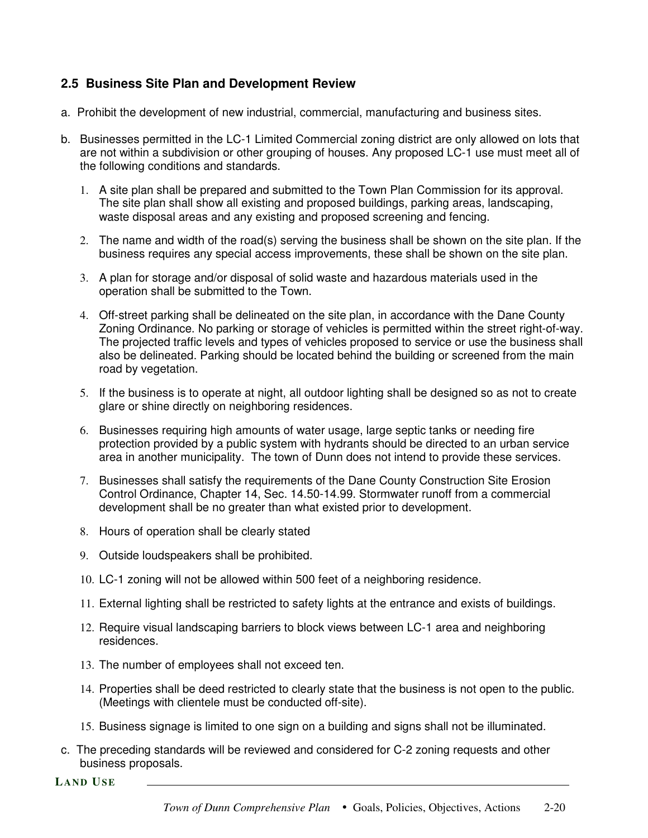# **2.5 Business Site Plan and Development Review**

- a. Prohibit the development of new industrial, commercial, manufacturing and business sites.
- b. Businesses permitted in the LC-1 Limited Commercial zoning district are only allowed on lots that are not within a subdivision or other grouping of houses. Any proposed LC-1 use must meet all of the following conditions and standards.
	- 1. A site plan shall be prepared and submitted to the Town Plan Commission for its approval. The site plan shall show all existing and proposed buildings, parking areas, landscaping, waste disposal areas and any existing and proposed screening and fencing.
	- 2. The name and width of the road(s) serving the business shall be shown on the site plan. If the business requires any special access improvements, these shall be shown on the site plan.
	- 3. A plan for storage and/or disposal of solid waste and hazardous materials used in the operation shall be submitted to the Town.
	- 4. Off-street parking shall be delineated on the site plan, in accordance with the Dane County Zoning Ordinance. No parking or storage of vehicles is permitted within the street right-of-way. The projected traffic levels and types of vehicles proposed to service or use the business shall also be delineated. Parking should be located behind the building or screened from the main road by vegetation.
	- 5. If the business is to operate at night, all outdoor lighting shall be designed so as not to create glare or shine directly on neighboring residences.
	- 6. Businesses requiring high amounts of water usage, large septic tanks or needing fire protection provided by a public system with hydrants should be directed to an urban service area in another municipality. The town of Dunn does not intend to provide these services.
	- 7. Businesses shall satisfy the requirements of the Dane County Construction Site Erosion Control Ordinance, Chapter 14, Sec. 14.50-14.99. Stormwater runoff from a commercial development shall be no greater than what existed prior to development.
	- 8. Hours of operation shall be clearly stated
	- 9. Outside loudspeakers shall be prohibited.
	- 10. LC-1 zoning will not be allowed within 500 feet of a neighboring residence.
	- 11. External lighting shall be restricted to safety lights at the entrance and exists of buildings.
	- 12. Require visual landscaping barriers to block views between LC-1 area and neighboring residences.
	- 13. The number of employees shall not exceed ten.
	- 14. Properties shall be deed restricted to clearly state that the business is not open to the public. (Meetings with clientele must be conducted off-site).
	- 15. Business signage is limited to one sign on a building and signs shall not be illuminated.
- c. The preceding standards will be reviewed and considered for C-2 zoning requests and other business proposals.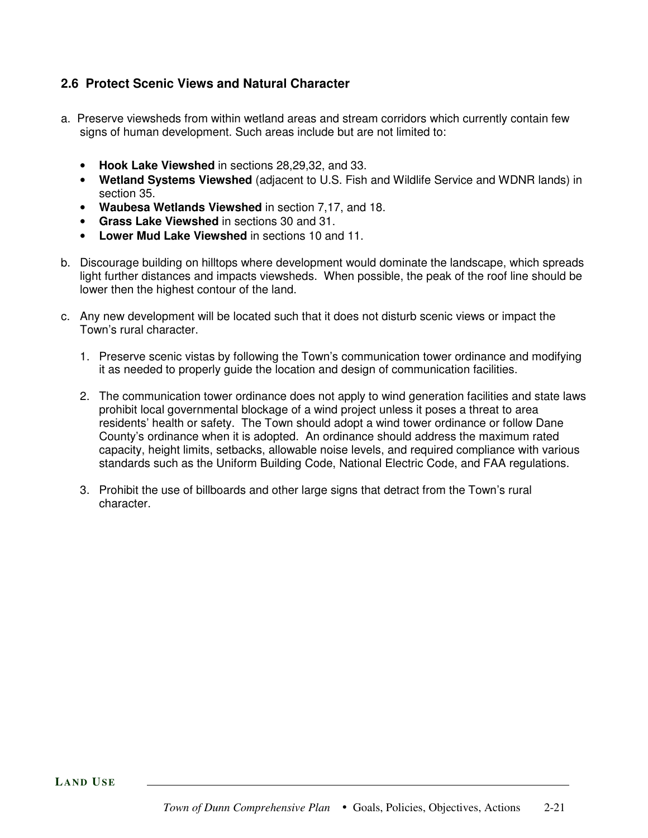# **2.6 Protect Scenic Views and Natural Character**

- a. Preserve viewsheds from within wetland areas and stream corridors which currently contain few signs of human development. Such areas include but are not limited to:
	- **Hook Lake Viewshed** in sections 28,29,32, and 33.
	- **Wetland Systems Viewshed** (adjacent to U.S. Fish and Wildlife Service and WDNR lands) in section 35.
	- **Waubesa Wetlands Viewshed** in section 7,17, and 18.
	- **Grass Lake Viewshed** in sections 30 and 31.
	- **Lower Mud Lake Viewshed** in sections 10 and 11.
- b. Discourage building on hilltops where development would dominate the landscape, which spreads light further distances and impacts viewsheds. When possible, the peak of the roof line should be lower then the highest contour of the land.
- c. Any new development will be located such that it does not disturb scenic views or impact the Town's rural character.
	- 1. Preserve scenic vistas by following the Town's communication tower ordinance and modifying it as needed to properly guide the location and design of communication facilities.
	- 2. The communication tower ordinance does not apply to wind generation facilities and state laws prohibit local governmental blockage of a wind project unless it poses a threat to area residents' health or safety. The Town should adopt a wind tower ordinance or follow Dane County's ordinance when it is adopted. An ordinance should address the maximum rated capacity, height limits, setbacks, allowable noise levels, and required compliance with various standards such as the Uniform Building Code, National Electric Code, and FAA regulations.
	- 3. Prohibit the use of billboards and other large signs that detract from the Town's rural character.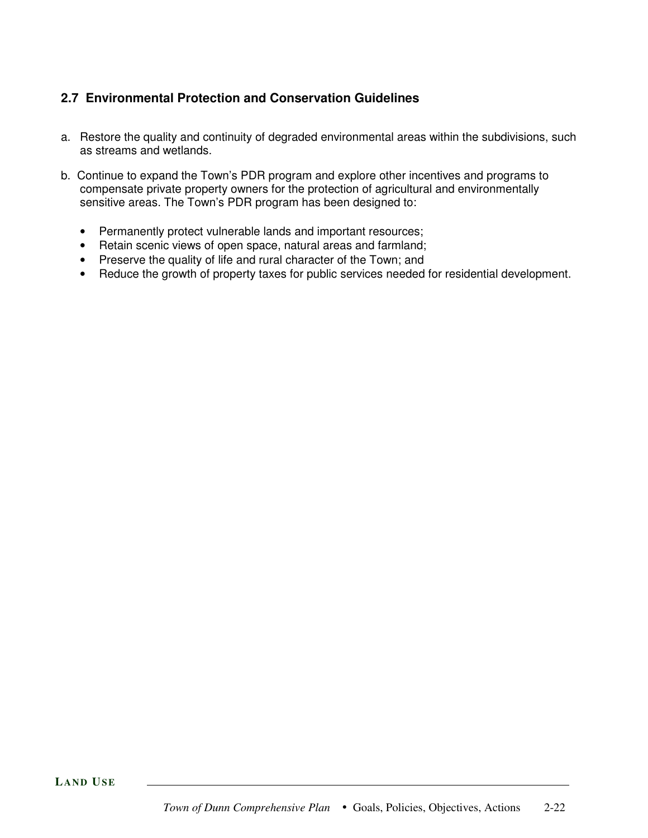# **2.7 Environmental Protection and Conservation Guidelines**

- a. Restore the quality and continuity of degraded environmental areas within the subdivisions, such as streams and wetlands.
- b. Continue to expand the Town's PDR program and explore other incentives and programs to compensate private property owners for the protection of agricultural and environmentally sensitive areas. The Town's PDR program has been designed to:
	- Permanently protect vulnerable lands and important resources;
	- Retain scenic views of open space, natural areas and farmland;
	- Preserve the quality of life and rural character of the Town; and
	- Reduce the growth of property taxes for public services needed for residential development.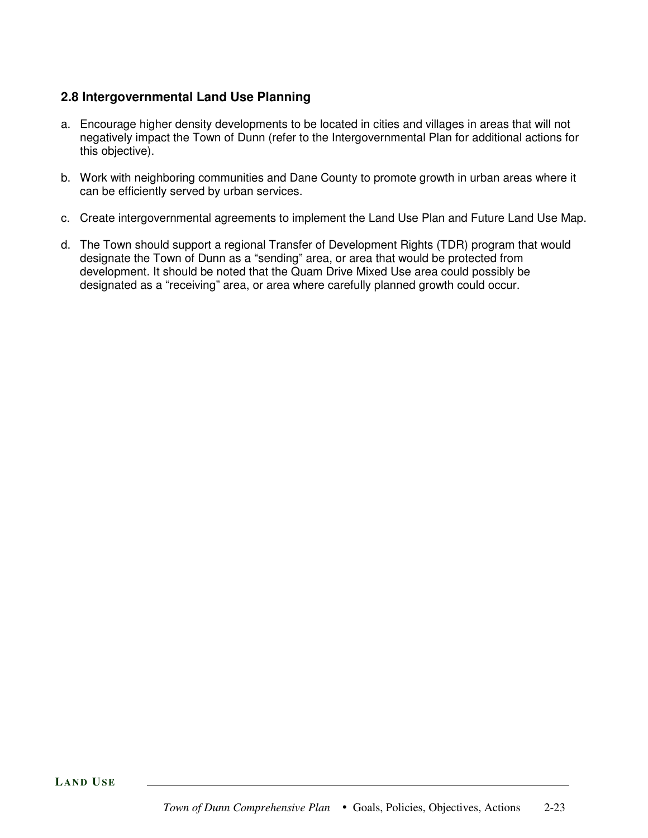# **2.8 Intergovernmental Land Use Planning**

- a. Encourage higher density developments to be located in cities and villages in areas that will not negatively impact the Town of Dunn (refer to the Intergovernmental Plan for additional actions for this objective).
- b. Work with neighboring communities and Dane County to promote growth in urban areas where it can be efficiently served by urban services.
- c. Create intergovernmental agreements to implement the Land Use Plan and Future Land Use Map.
- d. The Town should support a regional Transfer of Development Rights (TDR) program that would designate the Town of Dunn as a "sending" area, or area that would be protected from development. It should be noted that the Quam Drive Mixed Use area could possibly be designated as a "receiving" area, or area where carefully planned growth could occur.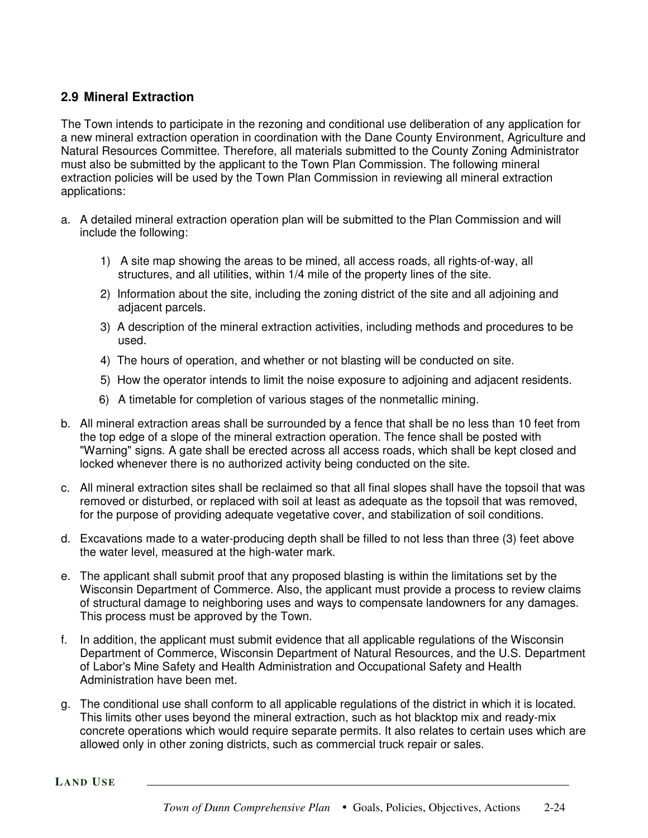# **2.9 Mineral Extraction**

The Town intends to participate in the rezoning and conditional use deliberation of any application for a new mineral extraction operation in coordination with the Dane County Environment, Agriculture and Natural Resources Committee. Therefore, all materials submitted to the County Zoning Administrator must also be submitted by the applicant to the Town Plan Commission. The following mineral extraction policies will be used by the Town Plan Commission in reviewing all mineral extraction applications:

- a. A detailed mineral extraction operation plan will be submitted to the Plan Commission and will include the following:
	- 1) A site map showing the areas to be mined, all access roads, all rights-of-way, all structures, and all utilities, within 1/4 mile of the property lines of the site.
	- 2) Information about the site, including the zoning district of the site and all adjoining and adjacent parcels.
	- 3) A description of the mineral extraction activities, including methods and procedures to be used.
	- 4) The hours of operation, and whether or not blasting will be conducted on site.
	- 5) How the operator intends to limit the noise exposure to adjoining and adjacent residents.
	- 6) A timetable for completion of various stages of the nonmetallic mining.
- b. All mineral extraction areas shall be surrounded by a fence that shall be no less than 10 feet from the top edge of a slope of the mineral extraction operation. The fence shall be posted with "Warning" signs. A gate shall be erected across all access roads, which shall be kept closed and locked whenever there is no authorized activity being conducted on the site.
- c. All mineral extraction sites shall be reclaimed so that all final slopes shall have the topsoil that was removed or disturbed, or replaced with soil at least as adequate as the topsoil that was removed, for the purpose of providing adequate vegetative cover, and stabilization of soil conditions.
- d. Excavations made to a water-producing depth shall be filled to not less than three (3) feet above the water level, measured at the high-water mark.
- e. The applicant shall submit proof that any proposed blasting is within the limitations set by the Wisconsin Department of Commerce. Also, the applicant must provide a process to review claims of structural damage to neighboring uses and ways to compensate landowners for any damages. This process must be approved by the Town.
- f. In addition, the applicant must submit evidence that all applicable regulations of the Wisconsin Department of Commerce, Wisconsin Department of Natural Resources, and the U.S. Department of Labor's Mine Safety and Health Administration and Occupational Safety and Health Administration have been met.
- g. The conditional use shall conform to all applicable regulations of the district in which it is located. This limits other uses beyond the mineral extraction, such as hot blacktop mix and ready-mix concrete operations which would require separate permits. It also relates to certain uses which are allowed only in other zoning districts, such as commercial truck repair or sales.